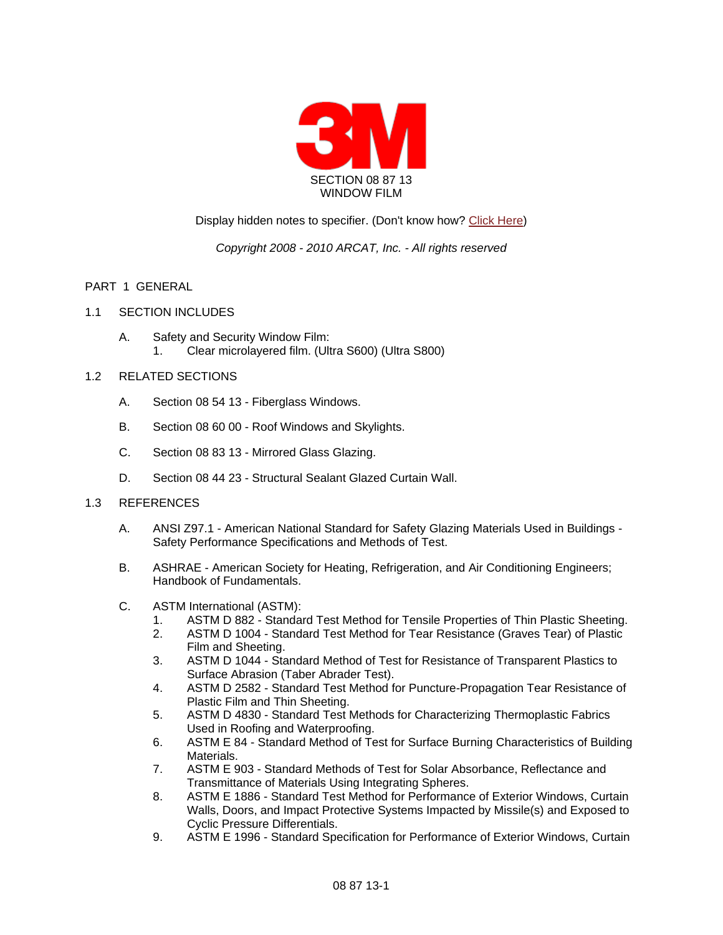

# Display hidden notes to specifier. (Don't know how? [Click Here\)](http://www.arcat.com/sd/display_hidden_notes.shtml)

# *Copyright 2008 - 2010 ARCAT, Inc. - All rights reserved*

## PART 1 GENERAL

### 1.1 SECTION INCLUDES

A. Safety and Security Window Film: 1. Clear microlayered film. (Ultra S600) (Ultra S800)

## 1.2 RELATED SECTIONS

- A. Section 08 54 13 Fiberglass Windows.
- B. Section 08 60 00 Roof Windows and Skylights.
- C. Section 08 83 13 Mirrored Glass Glazing.
- D. Section 08 44 23 Structural Sealant Glazed Curtain Wall.

#### 1.3 REFERENCES

- A. ANSI Z97.1 American National Standard for Safety Glazing Materials Used in Buildings Safety Performance Specifications and Methods of Test.
- B. ASHRAE American Society for Heating, Refrigeration, and Air Conditioning Engineers; Handbook of Fundamentals.
- C. ASTM International (ASTM):
	- 1. ASTM D 882 Standard Test Method for Tensile Properties of Thin Plastic Sheeting.
	- 2. ASTM D 1004 Standard Test Method for Tear Resistance (Graves Tear) of Plastic Film and Sheeting.
	- 3. ASTM D 1044 Standard Method of Test for Resistance of Transparent Plastics to Surface Abrasion (Taber Abrader Test).
	- 4. ASTM D 2582 Standard Test Method for Puncture-Propagation Tear Resistance of Plastic Film and Thin Sheeting.
	- 5. ASTM D 4830 Standard Test Methods for Characterizing Thermoplastic Fabrics Used in Roofing and Waterproofing.
	- 6. ASTM E 84 Standard Method of Test for Surface Burning Characteristics of Building Materials.
	- 7. ASTM E 903 Standard Methods of Test for Solar Absorbance, Reflectance and Transmittance of Materials Using Integrating Spheres.
	- 8. ASTM E 1886 Standard Test Method for Performance of Exterior Windows, Curtain Walls, Doors, and Impact Protective Systems Impacted by Missile(s) and Exposed to Cyclic Pressure Differentials.
	- 9. ASTM E 1996 Standard Specification for Performance of Exterior Windows, Curtain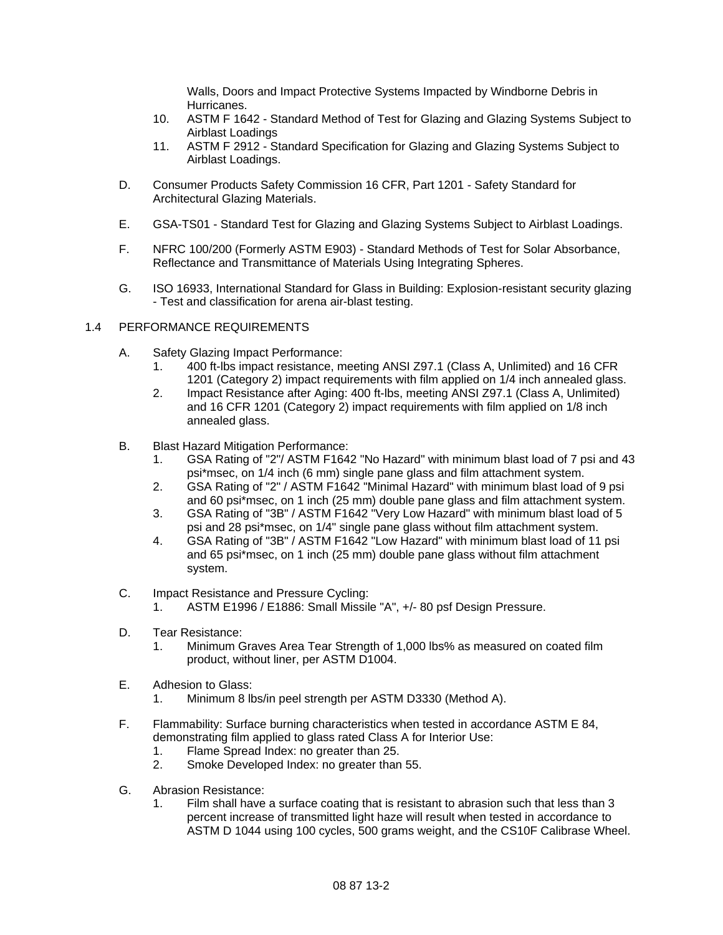Walls, Doors and Impact Protective Systems Impacted by Windborne Debris in Hurricanes.

- 10. ASTM F 1642 Standard Method of Test for Glazing and Glazing Systems Subject to Airblast Loadings
- 11. ASTM F 2912 Standard Specification for Glazing and Glazing Systems Subject to Airblast Loadings.
- D. Consumer Products Safety Commission 16 CFR, Part 1201 Safety Standard for Architectural Glazing Materials.
- E. GSA-TS01 Standard Test for Glazing and Glazing Systems Subject to Airblast Loadings.
- F. NFRC 100/200 (Formerly ASTM E903) Standard Methods of Test for Solar Absorbance, Reflectance and Transmittance of Materials Using Integrating Spheres.
- G. ISO 16933, International Standard for Glass in Building: Explosion-resistant security glazing - Test and classification for arena air-blast testing.

### 1.4 PERFORMANCE REQUIREMENTS

- A. Safety Glazing Impact Performance:
	- 1. 400 ft-lbs impact resistance, meeting ANSI Z97.1 (Class A, Unlimited) and 16 CFR 1201 (Category 2) impact requirements with film applied on 1/4 inch annealed glass.
	- 2. Impact Resistance after Aging: 400 ft-lbs, meeting ANSI Z97.1 (Class A, Unlimited) and 16 CFR 1201 (Category 2) impact requirements with film applied on 1/8 inch annealed glass.
- B. Blast Hazard Mitigation Performance:
	- 1. GSA Rating of "2"/ ASTM F1642 "No Hazard" with minimum blast load of 7 psi and 43 psi\*msec, on 1/4 inch (6 mm) single pane glass and film attachment system.
	- 2. GSA Rating of "2" / ASTM F1642 "Minimal Hazard" with minimum blast load of 9 psi and 60 psi\*msec, on 1 inch (25 mm) double pane glass and film attachment system.
	- 3. GSA Rating of "3B" / ASTM F1642 "Very Low Hazard" with minimum blast load of 5 psi and 28 psi\*msec, on 1/4" single pane glass without film attachment system.
	- 4. GSA Rating of "3B" / ASTM F1642 "Low Hazard" with minimum blast load of 11 psi and 65 psi\*msec, on 1 inch (25 mm) double pane glass without film attachment system.
- C. Impact Resistance and Pressure Cycling:
	- 1. ASTM E1996 / E1886: Small Missile "A", +/- 80 psf Design Pressure.
- D. Tear Resistance:
	- 1. Minimum Graves Area Tear Strength of 1,000 lbs% as measured on coated film product, without liner, per ASTM D1004.
- E. Adhesion to Glass:
	- 1. Minimum 8 lbs/in peel strength per ASTM D3330 (Method A).
- F. Flammability: Surface burning characteristics when tested in accordance ASTM E 84, demonstrating film applied to glass rated Class A for Interior Use:
	- 1. Flame Spread Index: no greater than 25.
	- 2. Smoke Developed Index: no greater than 55.
- G. Abrasion Resistance:
	- 1. Film shall have a surface coating that is resistant to abrasion such that less than 3 percent increase of transmitted light haze will result when tested in accordance to ASTM D 1044 using 100 cycles, 500 grams weight, and the CS10F Calibrase Wheel.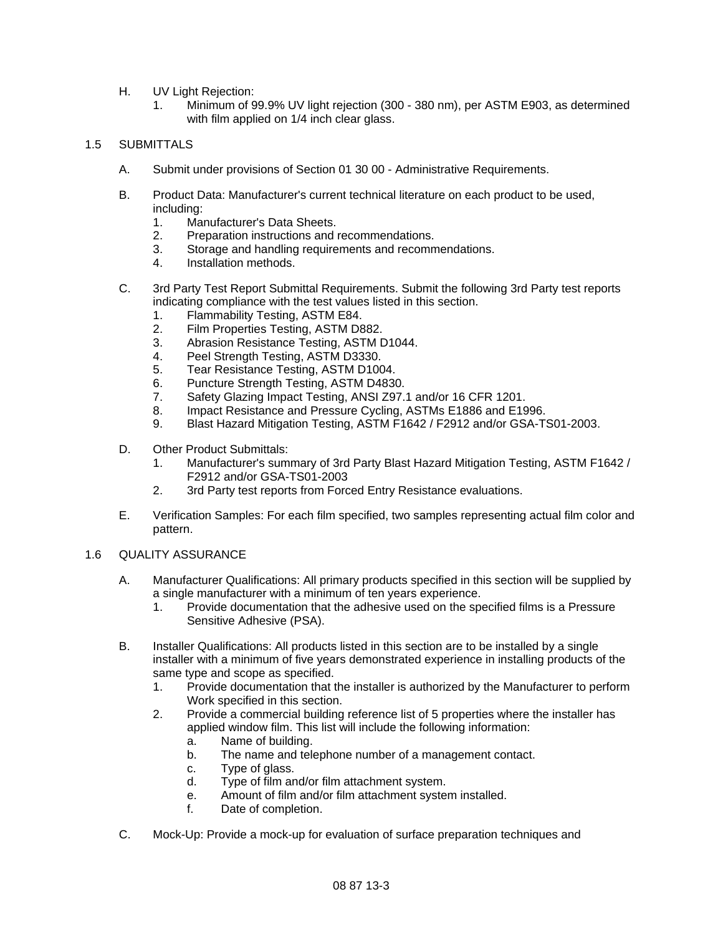- H. UV Light Rejection:
	- 1. Minimum of 99.9% UV light rejection (300 380 nm), per ASTM E903, as determined with film applied on 1/4 inch clear glass.

## 1.5 SUBMITTALS

- A. Submit under provisions of Section 01 30 00 Administrative Requirements.
- B. Product Data: Manufacturer's current technical literature on each product to be used, including:
	- 1. Manufacturer's Data Sheets.
	- 2. Preparation instructions and recommendations.
	- 3. Storage and handling requirements and recommendations.
	- 4. Installation methods.
- C. 3rd Party Test Report Submittal Requirements. Submit the following 3rd Party test reports indicating compliance with the test values listed in this section.
	- 1. Flammability Testing, ASTM E84.
	- 2. Film Properties Testing, ASTM D882.
	- 3. Abrasion Resistance Testing, ASTM D1044.
	- 4. Peel Strength Testing, ASTM D3330.
	- 5. Tear Resistance Testing, ASTM D1004.
	- 6. Puncture Strength Testing, ASTM D4830.
	- 7. Safety Glazing Impact Testing, ANSI Z97.1 and/or 16 CFR 1201.
	- 8. Impact Resistance and Pressure Cycling, ASTMs E1886 and E1996.
	- 9. Blast Hazard Mitigation Testing, ASTM F1642 / F2912 and/or GSA-TS01-2003.
- D. Other Product Submittals:
	- 1. Manufacturer's summary of 3rd Party Blast Hazard Mitigation Testing, ASTM F1642 / F2912 and/or GSA-TS01-2003
	- 2. 3rd Party test reports from Forced Entry Resistance evaluations.
- E. Verification Samples: For each film specified, two samples representing actual film color and pattern.

#### 1.6 QUALITY ASSURANCE

- A. Manufacturer Qualifications: All primary products specified in this section will be supplied by a single manufacturer with a minimum of ten years experience.
	- 1. Provide documentation that the adhesive used on the specified films is a Pressure Sensitive Adhesive (PSA).
- B. Installer Qualifications: All products listed in this section are to be installed by a single installer with a minimum of five years demonstrated experience in installing products of the same type and scope as specified.
	- 1. Provide documentation that the installer is authorized by the Manufacturer to perform Work specified in this section.
	- 2. Provide a commercial building reference list of 5 properties where the installer has applied window film. This list will include the following information:
		- a. Name of building.
		- b. The name and telephone number of a management contact.
		- c. Type of glass.
		- d. Type of film and/or film attachment system.
		- e. Amount of film and/or film attachment system installed.
		- f. Date of completion.
- C. Mock-Up: Provide a mock-up for evaluation of surface preparation techniques and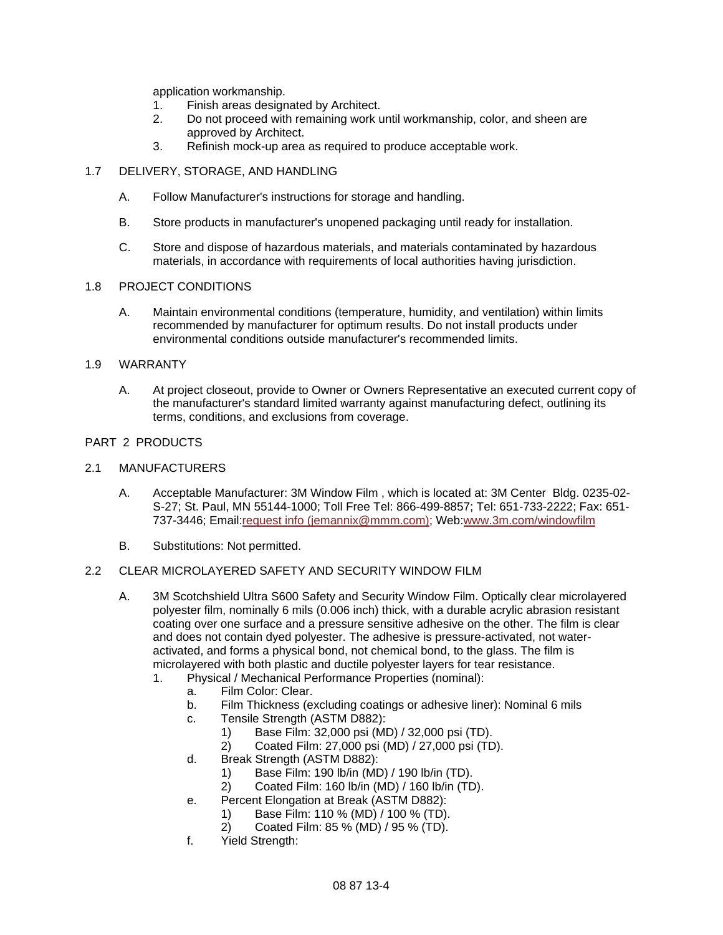application workmanship.

- 1. Finish areas designated by Architect.
- 2. Do not proceed with remaining work until workmanship, color, and sheen are approved by Architect.
- 3. Refinish mock-up area as required to produce acceptable work.

### 1.7 DELIVERY, STORAGE, AND HANDLING

- A. Follow Manufacturer's instructions for storage and handling.
- B. Store products in manufacturer's unopened packaging until ready for installation.
- C. Store and dispose of hazardous materials, and materials contaminated by hazardous materials, in accordance with requirements of local authorities having jurisdiction.

### 1.8 PROJECT CONDITIONS

A. Maintain environmental conditions (temperature, humidity, and ventilation) within limits recommended by manufacturer for optimum results. Do not install products under environmental conditions outside manufacturer's recommended limits.

### 1.9 WARRANTY

A. At project closeout, provide to Owner or Owners Representative an executed current copy of the manufacturer's standard limited warranty against manufacturing defect, outlining its terms, conditions, and exclusions from coverage.

## PART 2 PRODUCTS

#### 2.1 MANUFACTURERS

- A. Acceptable Manufacturer: 3M Window Film , which is located at: 3M Center Bldg. 0235-02- S-27; St. Paul, MN 55144-1000; Toll Free Tel: 866-499-8857; Tel: 651-733-2222; Fax: 651- 737-3446; Email[:request info \(jemannix@mmm.com\);](http://admin.arcat.com/users.pl?action=UserEmail&company=3M+Window+Film+&coid=31704&rep=&fax=651-737-3446&message=RE:%20Spec%20Question%20(08870mmm):%20%20&mf=) Web[:www.3m.com/windowfilm](http://www.3m.com/windowfilm)
- B. Substitutions: Not permitted.

## 2.2 CLEAR MICROLAYERED SAFETY AND SECURITY WINDOW FILM

- A. 3M Scotchshield Ultra S600 Safety and Security Window Film. Optically clear microlayered polyester film, nominally 6 mils (0.006 inch) thick, with a durable acrylic abrasion resistant coating over one surface and a pressure sensitive adhesive on the other. The film is clear and does not contain dyed polyester. The adhesive is pressure-activated, not wateractivated, and forms a physical bond, not chemical bond, to the glass. The film is microlayered with both plastic and ductile polyester layers for tear resistance.
	- 1. Physical / Mechanical Performance Properties (nominal):
		- a. Film Color: Clear.
		- b. Film Thickness (excluding coatings or adhesive liner): Nominal 6 mils
		- c. Tensile Strength (ASTM D882):
			- 1) Base Film: 32,000 psi (MD) / 32,000 psi (TD).
			- 2) Coated Film: 27,000 psi (MD) / 27,000 psi (TD).
		- d. Break Strength (ASTM D882):
			- 1) Base Film: 190 lb/in (MD) / 190 lb/in (TD).
			- 2) Coated Film: 160 lb/in (MD) / 160 lb/in (TD).
		- e. Percent Elongation at Break (ASTM D882):
			- 1) Base Film: 110 % (MD) / 100 % (TD).
			- 2) Coated Film: 85 % (MD) / 95 % (TD).
		- f. Yield Strength: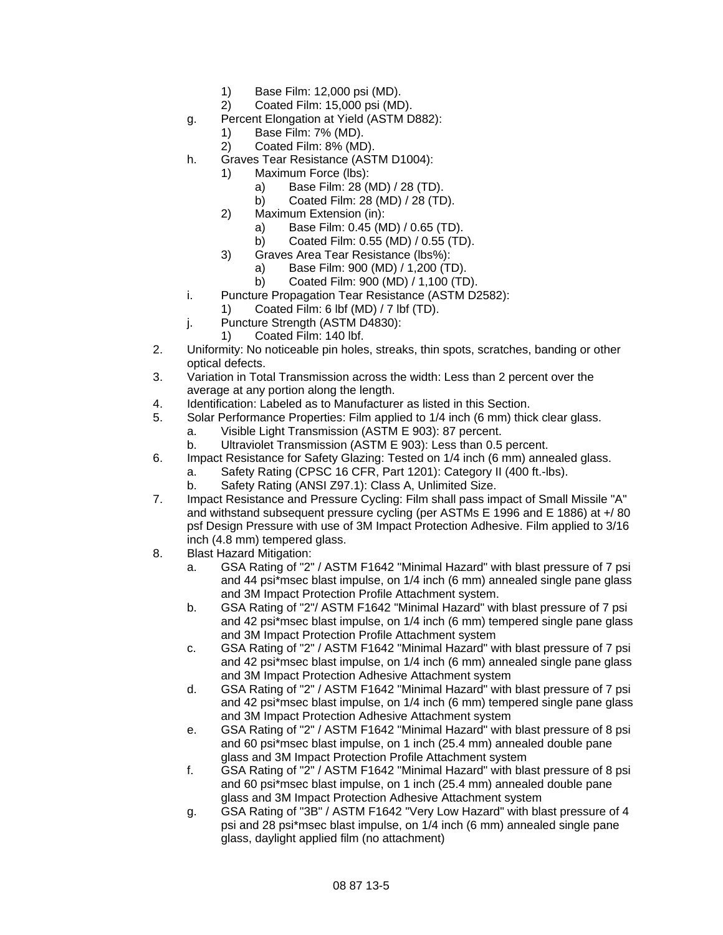- 1) Base Film: 12,000 psi (MD).
- 2) Coated Film: 15,000 psi (MD).
- g. Percent Elongation at Yield (ASTM D882):
	- 1) Base Film: 7% (MD).
	- 2) Coated Film: 8% (MD).
- h. Graves Tear Resistance (ASTM D1004):
	- 1) Maximum Force (lbs):
		- a) Base Film: 28 (MD) / 28 (TD).
		- b) Coated Film: 28 (MD) / 28 (TD).
	- 2) Maximum Extension (in):
		- a) Base Film: 0.45 (MD) / 0.65 (TD).
		- b) Coated Film: 0.55 (MD) / 0.55 (TD).
	- 3) Graves Area Tear Resistance (lbs%):
		- a) Base Film: 900 (MD) / 1,200 (TD).
		- b) Coated Film: 900 (MD) / 1,100 (TD).
- i. Puncture Propagation Tear Resistance (ASTM D2582):
	- 1) Coated Film: 6 lbf (MD) / 7 lbf (TD).
- j. Puncture Strength (ASTM D4830):
	- 1) Coated Film: 140 lbf.
- 2. Uniformity: No noticeable pin holes, streaks, thin spots, scratches, banding or other optical defects.
- 3. Variation in Total Transmission across the width: Less than 2 percent over the average at any portion along the length.
- 4. Identification: Labeled as to Manufacturer as listed in this Section.
- 5. Solar Performance Properties: Film applied to 1/4 inch (6 mm) thick clear glass.
	- a. Visible Light Transmission (ASTM E 903): 87 percent.
	- b. Ultraviolet Transmission (ASTM E 903): Less than 0.5 percent.
- 6. Impact Resistance for Safety Glazing: Tested on 1/4 inch (6 mm) annealed glass.
	- a. Safety Rating (CPSC 16 CFR, Part 1201): Category II (400 ft.-lbs).
	- b. Safety Rating (ANSI Z97.1): Class A, Unlimited Size.
- 7. Impact Resistance and Pressure Cycling: Film shall pass impact of Small Missile "A" and withstand subsequent pressure cycling (per ASTMs E 1996 and E 1886) at +/ 80 psf Design Pressure with use of 3M Impact Protection Adhesive. Film applied to 3/16 inch (4.8 mm) tempered glass.
- 8. Blast Hazard Mitigation:
	- a. GSA Rating of "2" / ASTM F1642 "Minimal Hazard" with blast pressure of 7 psi and 44 psi\*msec blast impulse, on 1/4 inch (6 mm) annealed single pane glass and 3M Impact Protection Profile Attachment system.
	- b. GSA Rating of "2"/ ASTM F1642 "Minimal Hazard" with blast pressure of 7 psi and 42 psi\*msec blast impulse, on 1/4 inch (6 mm) tempered single pane glass and 3M Impact Protection Profile Attachment system
	- c. GSA Rating of "2" / ASTM F1642 "Minimal Hazard" with blast pressure of 7 psi and 42 psi\*msec blast impulse, on 1/4 inch (6 mm) annealed single pane glass and 3M Impact Protection Adhesive Attachment system
	- d. GSA Rating of "2" / ASTM F1642 "Minimal Hazard" with blast pressure of 7 psi and 42 psi\*msec blast impulse, on 1/4 inch (6 mm) tempered single pane glass and 3M Impact Protection Adhesive Attachment system
	- e. GSA Rating of "2" / ASTM F1642 "Minimal Hazard" with blast pressure of 8 psi and 60 psi\*msec blast impulse, on 1 inch (25.4 mm) annealed double pane glass and 3M Impact Protection Profile Attachment system
	- f. GSA Rating of "2" / ASTM F1642 "Minimal Hazard" with blast pressure of 8 psi and 60 psi\*msec blast impulse, on 1 inch (25.4 mm) annealed double pane glass and 3M Impact Protection Adhesive Attachment system
	- g. GSA Rating of "3B" / ASTM F1642 "Very Low Hazard" with blast pressure of 4 psi and 28 psi\*msec blast impulse, on 1/4 inch (6 mm) annealed single pane glass, daylight applied film (no attachment)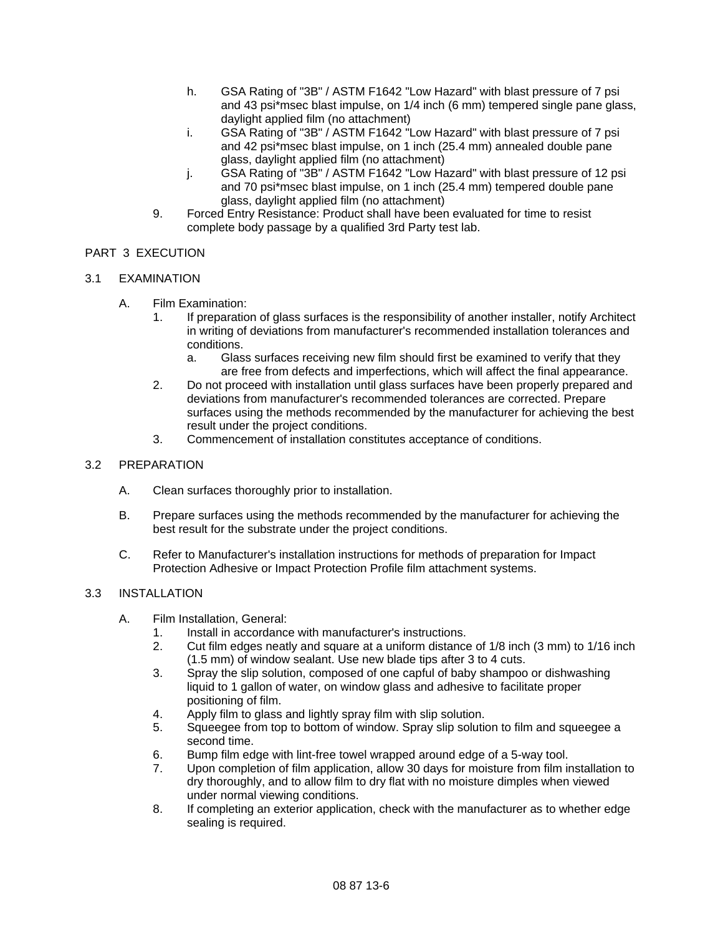- h. GSA Rating of "3B" / ASTM F1642 "Low Hazard" with blast pressure of 7 psi and 43 psi\*msec blast impulse, on 1/4 inch (6 mm) tempered single pane glass, daylight applied film (no attachment)
- i. GSA Rating of "3B" / ASTM F1642 "Low Hazard" with blast pressure of 7 psi and 42 psi\*msec blast impulse, on 1 inch (25.4 mm) annealed double pane glass, daylight applied film (no attachment)
- j. GSA Rating of "3B" / ASTM F1642 "Low Hazard" with blast pressure of 12 psi and 70 psi\*msec blast impulse, on 1 inch (25.4 mm) tempered double pane glass, daylight applied film (no attachment)
- 9. Forced Entry Resistance: Product shall have been evaluated for time to resist complete body passage by a qualified 3rd Party test lab.

# PART 3 EXECUTION

# 3.1 EXAMINATION

- A. Film Examination:
	- 1. If preparation of glass surfaces is the responsibility of another installer, notify Architect in writing of deviations from manufacturer's recommended installation tolerances and conditions.
		- a. Glass surfaces receiving new film should first be examined to verify that they are free from defects and imperfections, which will affect the final appearance.
	- 2. Do not proceed with installation until glass surfaces have been properly prepared and deviations from manufacturer's recommended tolerances are corrected. Prepare surfaces using the methods recommended by the manufacturer for achieving the best result under the project conditions.
	- 3. Commencement of installation constitutes acceptance of conditions.

### 3.2 PREPARATION

- A. Clean surfaces thoroughly prior to installation.
- B. Prepare surfaces using the methods recommended by the manufacturer for achieving the best result for the substrate under the project conditions.
- C. Refer to Manufacturer's installation instructions for methods of preparation for Impact Protection Adhesive or Impact Protection Profile film attachment systems.

## 3.3 INSTALLATION

- A. Film Installation, General:
	- 1. Install in accordance with manufacturer's instructions.
	- 2. Cut film edges neatly and square at a uniform distance of 1/8 inch (3 mm) to 1/16 inch (1.5 mm) of window sealant. Use new blade tips after 3 to 4 cuts.
	- 3. Spray the slip solution, composed of one capful of baby shampoo or dishwashing liquid to 1 gallon of water, on window glass and adhesive to facilitate proper positioning of film.
	- 4. Apply film to glass and lightly spray film with slip solution.
	- 5. Squeegee from top to bottom of window. Spray slip solution to film and squeegee a second time.
	- 6. Bump film edge with lint-free towel wrapped around edge of a 5-way tool.
	- 7. Upon completion of film application, allow 30 days for moisture from film installation to dry thoroughly, and to allow film to dry flat with no moisture dimples when viewed under normal viewing conditions.
	- 8. If completing an exterior application, check with the manufacturer as to whether edge sealing is required.